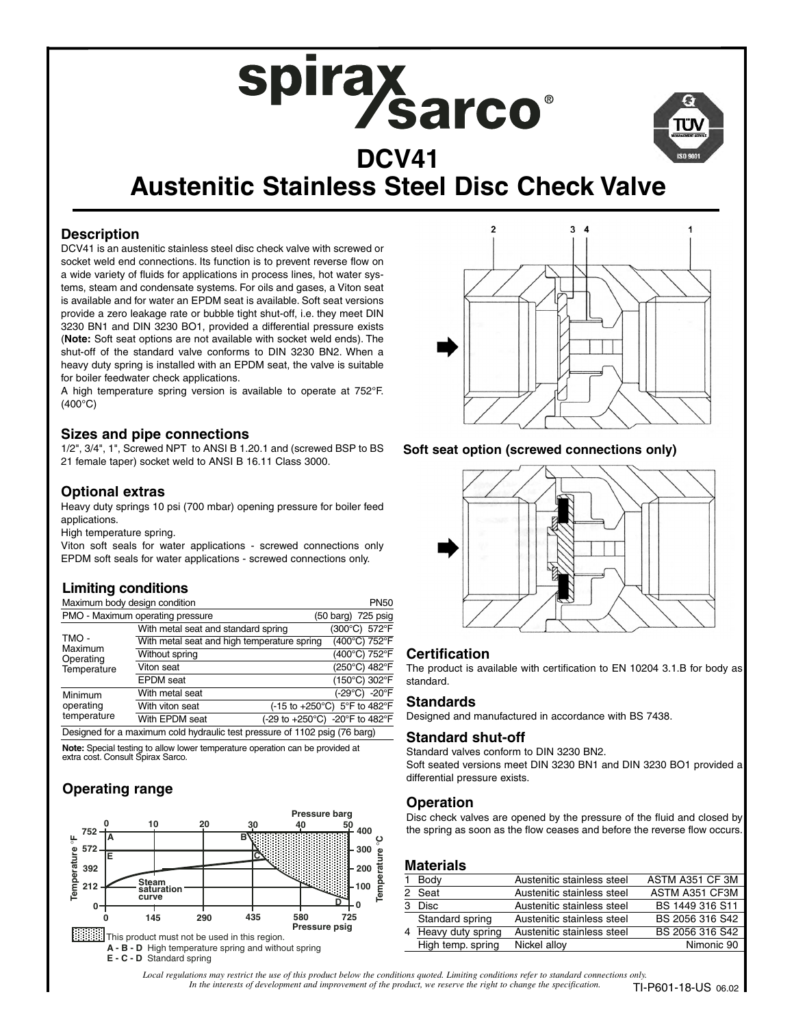



# **Austenitic Stainless Steel Disc Check Valve**

# **Description**

DCV41 is an austenitic stainless steel disc check valve with screwed or socket weld end connections. Its function is to prevent reverse flow on a wide variety of fluids for applications in process lines, hot water systems, steam and condensate systems. For oils and gases, a Viton seat is available and for water an EPDM seat is available. Soft seat versions provide a zero leakage rate or bubble tight shut-off, i.e. they meet DIN 3230 BN1 and DIN 3230 BO1, provided a differential pressure exists (**Note:** Soft seat options are not available with socket weld ends). The shut-off of the standard valve conforms to DIN 3230 BN2. When a heavy duty spring is installed with an EPDM seat, the valve is suitable for boiler feedwater check applications.

A high temperature spring version is available to operate at 752°F. (400°C)

#### **Sizes and pipe connections**

1/2", 3/4", 1", Screwed NPT to ANSI B 1.20.1 and (screwed BSP to BS 21 female taper) socket weld to ANSI B 16.11 Class 3000.

#### **Optional extras**

Heavy duty springs 10 psi (700 mbar) opening pressure for boiler feed applications.

High temperature spring.

Viton soft seals for water applications - screwed connections only EPDM soft seals for water applications - screwed connections only.

# **Limiting conditions**

| Maximum body design condition                                              |                                             |                                |                    |  | <b>PN50</b> |
|----------------------------------------------------------------------------|---------------------------------------------|--------------------------------|--------------------|--|-------------|
| PMO - Maximum operating pressure                                           |                                             |                                | (50 barg) 725 psig |  |             |
| TMO -<br>Maximum<br>Operating<br>Temperature                               | With metal seat and standard spring         |                                | (300°C) 572°F      |  |             |
|                                                                            | With metal seat and high temperature spring |                                | (400°C) 752°F      |  |             |
|                                                                            | Without spring                              |                                | (400°C) 752°F      |  |             |
|                                                                            | Viton seat                                  |                                | (250°C) 482°F      |  |             |
|                                                                            | <b>EPDM</b> seat                            |                                | (150°C) 302°F      |  |             |
| Minimum<br>operating<br>temperature                                        | With metal seat                             |                                | (-29°C) -20°F      |  |             |
|                                                                            | With viton seat                             | (-15 to +250°C) 5°F to 482°F   |                    |  |             |
|                                                                            | With EPDM seat                              | (-29 to +250°C) -20°F to 482°F |                    |  |             |
| Designed for a maximum cold hydraulic test pressure of 1102 psig (76 barg) |                                             |                                |                    |  |             |

**Note:** Special testing to allow lower temperature operation can be provided at extra cost. Consult Spirax Sarco.

# **Operating range**





#### **Soft seat option (screwed connections only)**



#### **Certification**

The product is available with certification to EN 10204 3.1.B for body as standard.

#### **Standards**

Designed and manufactured in accordance with BS 7438.

#### **Standard shut-off**

Standard valves conform to DIN 3230 BN2.

Soft seated versions meet DIN 3230 BN1 and DIN 3230 BO1 provided a differential pressure exists.

#### **Operation**

Disc check valves are opened by the pressure of the fluid and closed by the spring as soon as the flow ceases and before the reverse flow occurs.

#### **Materials**

|                   | Austenitic stainless steel                        | ASTM A351 CF 3M |
|-------------------|---------------------------------------------------|-----------------|
|                   | Austenitic stainless steel                        | ASTM A351 CF3M  |
|                   | Austenitic stainless steel                        | BS 1449 316 S11 |
| Standard spring   | Austenitic stainless steel                        | BS 2056 316 S42 |
|                   | Austenitic stainless steel                        | BS 2056 316 S42 |
| High temp. spring | Nickel alloy                                      | Nimonic 90      |
|                   | 1 Body<br>2 Seat<br>3 Disc<br>4 Heavy duty spring |                 |

*Local regulations may restrict the use of this product below the conditions quoted. Limiting conditions refer to standard connections only. In the interests of development and improvement of the product, we reserve the right to change the specification.* **TI-P601-18-US** 06.02